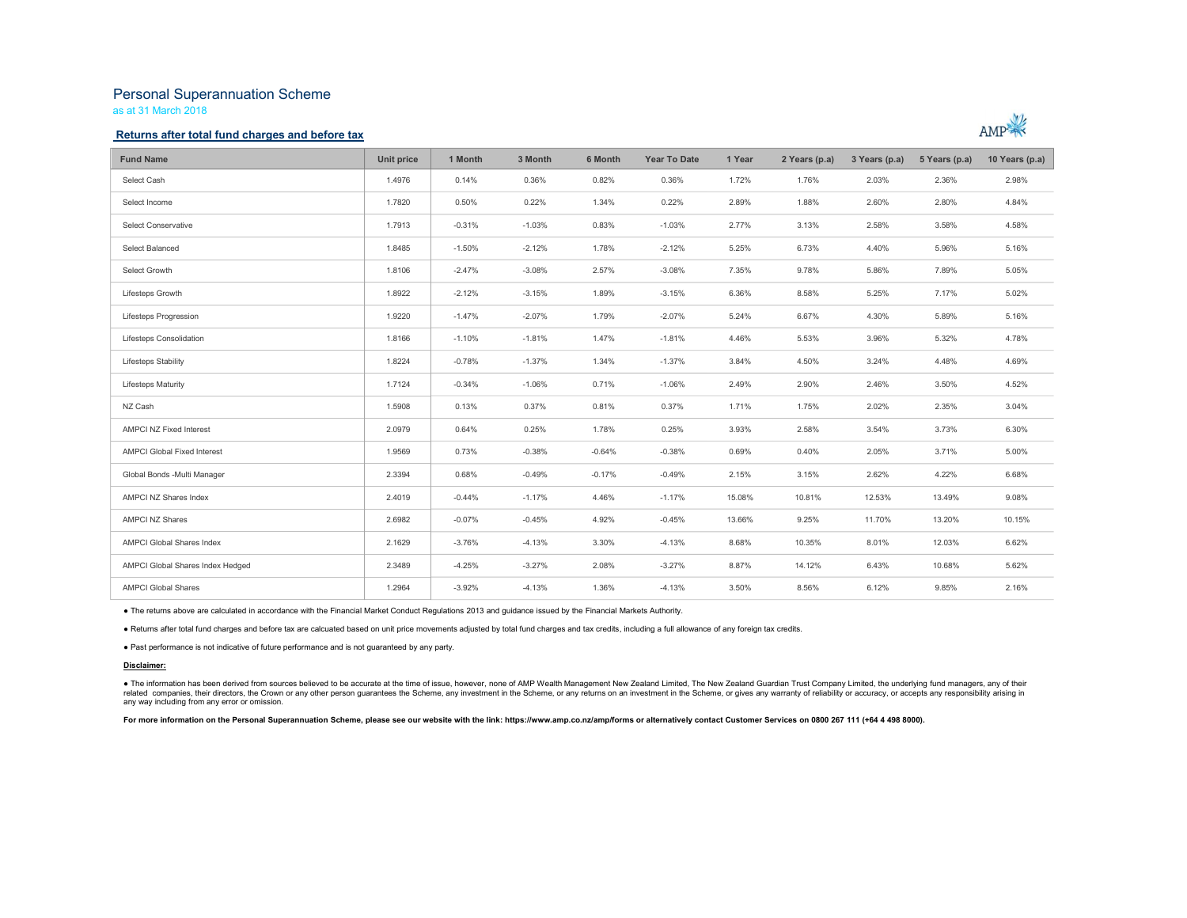# Personal Superannuation Scheme

as at 31 March 2018

### Returns after total fund charges and before tax



| <b>Fund Name</b>                 | Unit price | 1 Month  | 3 Month  | 6 Month  | <b>Year To Date</b> | 1 Year | 2 Years (p.a) | 3 Years (p.a) | 5 Years (p.a) | 10 Years (p.a) |
|----------------------------------|------------|----------|----------|----------|---------------------|--------|---------------|---------------|---------------|----------------|
| Select Cash                      | 1.4976     | 0.14%    | 0.36%    | 0.82%    | 0.36%               | 1.72%  | 1.76%         | 2.03%         | 2.36%         | 2.98%          |
| Select Income                    | 1.7820     | 0.50%    | 0.22%    | 1.34%    | 0.22%               | 2.89%  | 1.88%         | 2.60%         | 2.80%         | 4.84%          |
| <b>Select Conservative</b>       | 1.7913     | $-0.31%$ | $-1.03%$ | 0.83%    | $-1.03%$            | 2.77%  | 3.13%         | 2.58%         | 3.58%         | 4.58%          |
| Select Balanced                  | 1.8485     | $-1.50%$ | $-2.12%$ | 1.78%    | $-2.12%$            | 5.25%  | 6.73%         | 4.40%         | 5.96%         | 5.16%          |
| Select Growth                    | 1.8106     | $-2.47%$ | $-3.08%$ | 2.57%    | $-3.08%$            | 7.35%  | 9.78%         | 5.86%         | 7.89%         | 5.05%          |
| Lifesteps Growth                 | 1.8922     | $-2.12%$ | $-3.15%$ | 1.89%    | $-3.15%$            | 6.36%  | 8.58%         | 5.25%         | 7.17%         | 5.02%          |
| Lifesteps Progression            | 1.9220     | $-1.47%$ | $-2.07%$ | 1.79%    | $-2.07%$            | 5.24%  | 6.67%         | 4.30%         | 5.89%         | 5.16%          |
| Lifesteps Consolidation          | 1.8166     | $-1.10%$ | $-1.81%$ | 1.47%    | $-1.81%$            | 4.46%  | 5.53%         | 3.96%         | 5.32%         | 4.78%          |
| Lifesteps Stability              | 1.8224     | $-0.78%$ | $-1.37%$ | 1.34%    | $-1.37%$            | 3.84%  | 4.50%         | 3.24%         | 4.48%         | 4.69%          |
| <b>Lifesteps Maturity</b>        | 1.7124     | $-0.34%$ | $-1.06%$ | 0.71%    | $-1.06%$            | 2.49%  | 2.90%         | 2.46%         | 3.50%         | 4.52%          |
| NZ Cash                          | 1.5908     | 0.13%    | 0.37%    | 0.81%    | 0.37%               | 1.71%  | 1.75%         | 2.02%         | 2.35%         | 3.04%          |
| AMPCI NZ Fixed Interest          | 2.0979     | 0.64%    | 0.25%    | 1.78%    | 0.25%               | 3.93%  | 2.58%         | 3.54%         | 3.73%         | 6.30%          |
| AMPCI Global Fixed Interest      | 1.9569     | 0.73%    | $-0.38%$ | $-0.64%$ | $-0.38%$            | 0.69%  | 0.40%         | 2.05%         | 3.71%         | 5.00%          |
| Global Bonds - Multi Manager     | 2.3394     | 0.68%    | $-0.49%$ | $-0.17%$ | $-0.49%$            | 2.15%  | 3.15%         | 2.62%         | 4.22%         | 6.68%          |
| AMPCI NZ Shares Index            | 2.4019     | $-0.44%$ | $-1.17%$ | 4.46%    | $-1.17%$            | 15.08% | 10.81%        | 12.53%        | 13.49%        | 9.08%          |
| <b>AMPCI NZ Shares</b>           | 2.6982     | $-0.07%$ | $-0.45%$ | 4.92%    | $-0.45%$            | 13.66% | 9.25%         | 11.70%        | 13.20%        | 10.15%         |
| <b>AMPCI Global Shares Index</b> | 2.1629     | $-3.76%$ | $-4.13%$ | 3.30%    | $-4.13%$            | 8.68%  | 10.35%        | 8.01%         | 12.03%        | 6.62%          |
| AMPCI Global Shares Index Hedged | 2.3489     | $-4.25%$ | $-3.27%$ | 2.08%    | $-3.27%$            | 8.87%  | 14.12%        | 6.43%         | 10.68%        | 5.62%          |
| <b>AMPCI Global Shares</b>       | 1.2964     | $-3.92%$ | $-4.13%$ | 1.36%    | $-4.13%$            | 3.50%  | 8.56%         | 6.12%         | 9.85%         | 2.16%          |

■ The returns above are calculated in accordance with the Financial Market Conduct Regulations 2013 and guidance issued by the Financial Markets Authority.<br>■ Returns after total fund charges and before tax are calcuated b

#### Disclaimer:

● The information has been derived from sources believed to be accurate at the time of issue, however, none of AMP Wealth Management New Zealand Limited, The New Zealand Guardian Trust Company Limited, the underlying fund any way including from any error or omission.

For more information on the Personal Superannuation Scheme, please see our website with the link: https://www.amp.co.nz/amp/forms or alternatively contact Customer Services on 0800 267 111 (+64 4 498 8000).